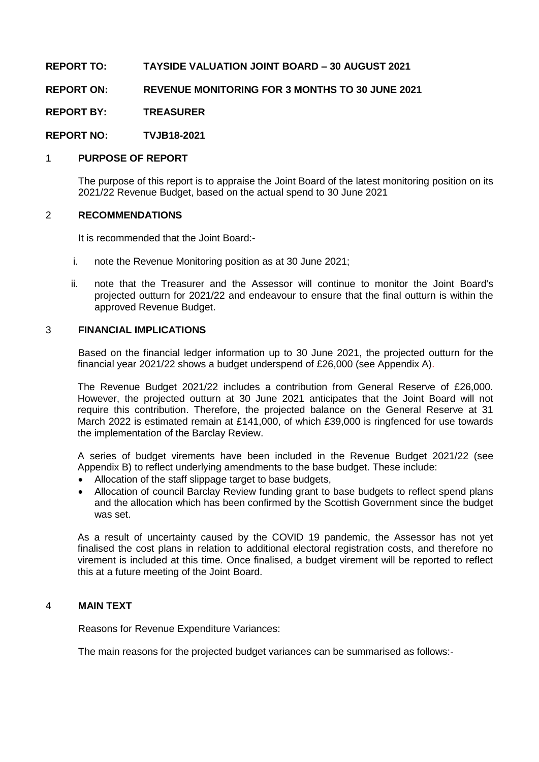# **REPORT TO: TAYSIDE VALUATION JOINT BOARD – 30 AUGUST 2021**

## **REPORT ON: REVENUE MONITORING FOR 3 MONTHS TO 30 JUNE 2021**

**REPORT BY: TREASURER**

**REPORT NO: TVJB18-2021**

### 1 **PURPOSE OF REPORT**

The purpose of this report is to appraise the Joint Board of the latest monitoring position on its 2021/22 Revenue Budget, based on the actual spend to 30 June 2021

### 2 **RECOMMENDATIONS**

It is recommended that the Joint Board:-

- i. note the Revenue Monitoring position as at 30 June 2021;
- ii. note that the Treasurer and the Assessor will continue to monitor the Joint Board's projected outturn for 2021/22 and endeavour to ensure that the final outturn is within the approved Revenue Budget.

### 3 **FINANCIAL IMPLICATIONS**

Based on the financial ledger information up to 30 June 2021, the projected outturn for the financial year 2021/22 shows a budget underspend of £26,000 (see Appendix A).

The Revenue Budget 2021/22 includes a contribution from General Reserve of £26,000. However, the projected outturn at 30 June 2021 anticipates that the Joint Board will not require this contribution. Therefore, the projected balance on the General Reserve at 31 March 2022 is estimated remain at £141,000, of which £39,000 is ringfenced for use towards the implementation of the Barclay Review.

A series of budget virements have been included in the Revenue Budget 2021/22 (see Appendix B) to reflect underlying amendments to the base budget. These include:

- Allocation of the staff slippage target to base budgets,
- Allocation of council Barclay Review funding grant to base budgets to reflect spend plans and the allocation which has been confirmed by the Scottish Government since the budget was set.

As a result of uncertainty caused by the COVID 19 pandemic, the Assessor has not yet finalised the cost plans in relation to additional electoral registration costs, and therefore no virement is included at this time. Once finalised, a budget virement will be reported to reflect this at a future meeting of the Joint Board.

#### 4 **MAIN TEXT**

Reasons for Revenue Expenditure Variances:

The main reasons for the projected budget variances can be summarised as follows:-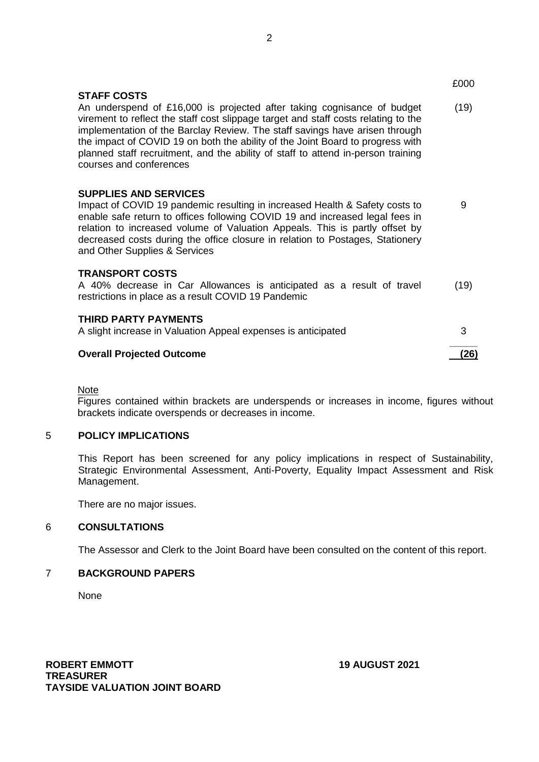|                                                                                                                                                                                                                                                                                                                                                                                                                                                                     | £000 |
|---------------------------------------------------------------------------------------------------------------------------------------------------------------------------------------------------------------------------------------------------------------------------------------------------------------------------------------------------------------------------------------------------------------------------------------------------------------------|------|
| <b>STAFF COSTS</b><br>An underspend of £16,000 is projected after taking cognisance of budget<br>virement to reflect the staff cost slippage target and staff costs relating to the<br>implementation of the Barclay Review. The staff savings have arisen through<br>the impact of COVID 19 on both the ability of the Joint Board to progress with<br>planned staff recruitment, and the ability of staff to attend in-person training<br>courses and conferences | (19) |
| <b>SUPPLIES AND SERVICES</b><br>Impact of COVID 19 pandemic resulting in increased Health & Safety costs to<br>enable safe return to offices following COVID 19 and increased legal fees in<br>relation to increased volume of Valuation Appeals. This is partly offset by<br>decreased costs during the office closure in relation to Postages, Stationery<br>and Other Supplies & Services                                                                        | 9    |
| <b>TRANSPORT COSTS</b><br>A 40% decrease in Car Allowances is anticipated as a result of travel<br>restrictions in place as a result COVID 19 Pandemic                                                                                                                                                                                                                                                                                                              | (19) |
| <b>THIRD PARTY PAYMENTS</b><br>A slight increase in Valuation Appeal expenses is anticipated                                                                                                                                                                                                                                                                                                                                                                        | 3    |
| <b>Overall Projected Outcome</b>                                                                                                                                                                                                                                                                                                                                                                                                                                    | (26) |

**Note** 

Figures contained within brackets are underspends or increases in income, figures without brackets indicate overspends or decreases in income.

#### 5 **POLICY IMPLICATIONS**

This Report has been screened for any policy implications in respect of Sustainability, Strategic Environmental Assessment, Anti-Poverty, Equality Impact Assessment and Risk Management.

There are no major issues.

## 6 **CONSULTATIONS**

The Assessor and Clerk to the Joint Board have been consulted on the content of this report.

# 7 **BACKGROUND PAPERS**

None

**ROBERT EMMOTT 19 AUGUST 2021 TREASURER TAYSIDE VALUATION JOINT BOARD**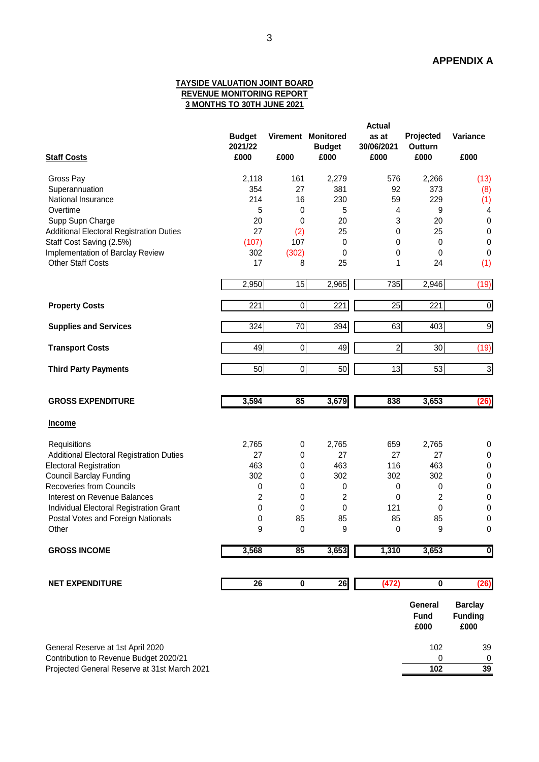#### **TAYSIDE VALUATION JOINT BOARD REVENUE MONITORING REPORT 3 MONTHS TO 30TH JUNE 2021**

| <b>Staff Costs</b>                                                          | <b>Budget</b><br>2021/22<br>£000 | £000                    | Virement Monitored<br><b>Budget</b><br>£000 | <b>Actual</b><br>as at<br>30/06/2021<br>£000 | Projected<br><b>Outturn</b><br>£000 | Variance<br>£000                         |
|-----------------------------------------------------------------------------|----------------------------------|-------------------------|---------------------------------------------|----------------------------------------------|-------------------------------------|------------------------------------------|
| Gross Pay                                                                   | 2,118                            | 161                     | 2,279                                       | 576                                          | 2,266                               | (13)                                     |
| Superannuation                                                              | 354                              | 27                      | 381                                         | 92                                           | 373                                 | (8)                                      |
| National Insurance                                                          | 214                              | 16                      | 230                                         | 59                                           | 229                                 | (1)                                      |
| Overtime                                                                    | 5                                | $\mathbf 0$             | 5                                           | 4                                            | 9                                   | 4                                        |
| Supp Supn Charge                                                            | 20                               | 0                       | 20                                          | 3                                            | 20                                  | $\pmb{0}$                                |
| Additional Electoral Registration Duties                                    | 27                               | (2)                     | 25                                          | 0                                            | 25                                  | $\boldsymbol{0}$                         |
| Staff Cost Saving (2.5%)                                                    | (107)                            | 107                     | $\pmb{0}$                                   | 0                                            | $\pmb{0}$                           | $\pmb{0}$                                |
| Implementation of Barclay Review                                            | 302                              | (302)                   | 0                                           | 0                                            | 0                                   | $\pmb{0}$                                |
| <b>Other Staff Costs</b>                                                    | 17                               | 8                       | 25                                          | 1                                            | 24                                  | (1)                                      |
|                                                                             | 2,950                            | 15                      | 2,965                                       | 735                                          | 2,946                               | (19)                                     |
| <b>Property Costs</b>                                                       | 221                              | $\boldsymbol{0}$        | 221                                         | $\overline{25}$                              | $\overline{221}$                    | $\overline{\mathsf{o}}$                  |
| <b>Supplies and Services</b>                                                | 324                              | 70                      | 394                                         | 63                                           | 403                                 | $\overline{9}$                           |
| <b>Transport Costs</b>                                                      | 49                               | 0                       | 49                                          | $\overline{2}$                               | 30                                  | (19)                                     |
| <b>Third Party Payments</b>                                                 | 50                               | $\overline{0}$          | 50                                          | $\overline{13}$                              | 53                                  | $\mathbf{3}$                             |
| <b>GROSS EXPENDITURE</b>                                                    | 3,594                            | 85                      | 3,679                                       | 838                                          | 3,653                               | (26)                                     |
| <b>Income</b>                                                               |                                  |                         |                                             |                                              |                                     |                                          |
| Requisitions                                                                | 2,765                            | 0                       | 2,765                                       | 659                                          | 2,765                               | 0                                        |
| Additional Electoral Registration Duties                                    | 27                               | 0                       | 27                                          | 27                                           | 27                                  | 0                                        |
| <b>Electoral Registration</b>                                               | 463                              | 0                       | 463                                         | 116                                          | 463                                 | 0                                        |
| <b>Council Barclay Funding</b>                                              | 302                              | 0                       | 302                                         | 302                                          | 302                                 | $\mathbf 0$                              |
| <b>Recoveries from Councils</b>                                             | 0                                | 0                       | 0                                           | 0                                            | 0                                   | $\pmb{0}$                                |
| Interest on Revenue Balances                                                | 2                                | 0                       | 2                                           | 0                                            | 2                                   | $\pmb{0}$                                |
| Individual Electoral Registration Grant                                     | 0                                | 0                       | 0                                           | 121                                          | 0                                   | $\pmb{0}$                                |
| Postal Votes and Foreign Nationals                                          | 0                                | 85                      | 85                                          | 85                                           | 85                                  | 0                                        |
| Other                                                                       | 9                                | 0                       | 9                                           | 0                                            | 9                                   | 0                                        |
| <b>GROSS INCOME</b>                                                         | 3,568                            | 85                      | 3,653                                       | 1,310                                        | 3,653                               | $\overline{\mathbf{0}}$                  |
|                                                                             | 26                               |                         |                                             |                                              | $\overline{\mathbf{0}}$             |                                          |
| <b>NET EXPENDITURE</b>                                                      |                                  | $\overline{\mathbf{0}}$ | 26                                          | (472)                                        |                                     | (26)                                     |
|                                                                             |                                  |                         |                                             |                                              | General<br><b>Fund</b><br>£000      | <b>Barclay</b><br><b>Funding</b><br>£000 |
| General Reserve at 1st April 2020<br>Contribution to Revenue Budget 2020/21 |                                  |                         |                                             |                                              | 102<br>$\pmb{0}$                    | 39<br>$\pmb{0}$                          |

Projected General Reserve at 31st March 2021 **102 39**